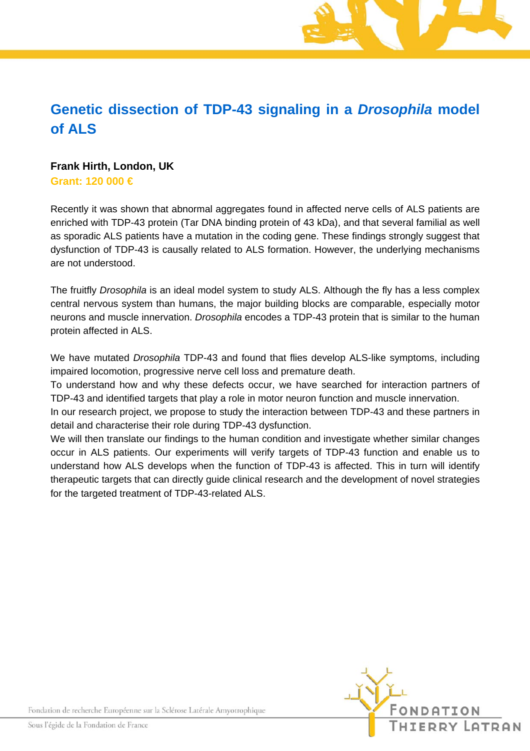## **Genetic dissection of TDP-43 signaling in a** *Drosophila* **model of ALS**

## **Frank Hirth, London, UK**

**Grant: 120 000 €** 

Recently it was shown that abnormal aggregates found in affected nerve cells of ALS patients are enriched with TDP-43 protein (Tar DNA binding protein of 43 kDa), and that several familial as well as sporadic ALS patients have a mutation in the coding gene. These findings strongly suggest that dysfunction of TDP-43 is causally related to ALS formation. However, the underlying mechanisms are not understood.

The fruitfly *Drosophila* is an ideal model system to study ALS. Although the fly has a less complex central nervous system than humans, the major building blocks are comparable, especially motor neurons and muscle innervation. *Drosophila* encodes a TDP-43 protein that is similar to the human protein affected in ALS.

We have mutated *Drosophila* TDP-43 and found that flies develop ALS-like symptoms, including impaired locomotion, progressive nerve cell loss and premature death.

To understand how and why these defects occur, we have searched for interaction partners of TDP-43 and identified targets that play a role in motor neuron function and muscle innervation.

In our research project, we propose to study the interaction between TDP-43 and these partners in detail and characterise their role during TDP-43 dysfunction.

We will then translate our findings to the human condition and investigate whether similar changes occur in ALS patients. Our experiments will verify targets of TDP-43 function and enable us to understand how ALS develops when the function of TDP-43 is affected. This in turn will identify therapeutic targets that can directly guide clinical research and the development of novel strategies for the targeted treatment of TDP-43-related ALS.



Fondation de recherche Européenne sur la Sclérose Latérale Amyotrophique